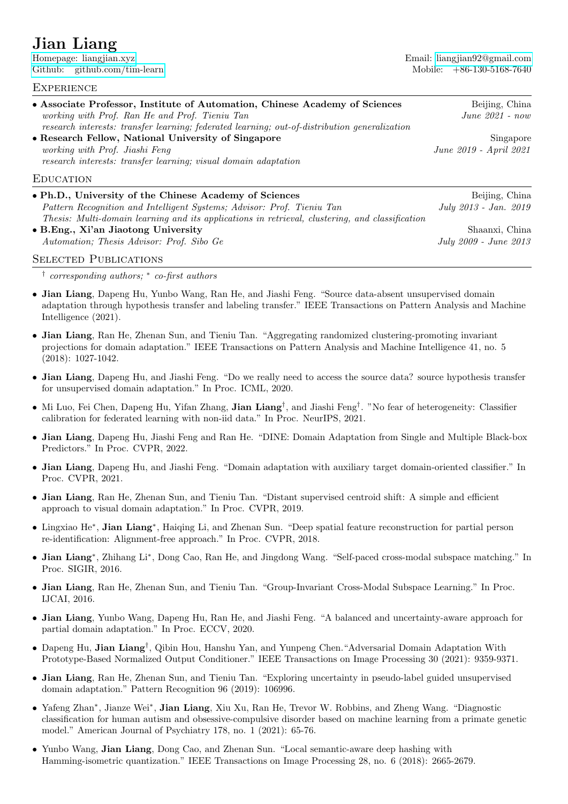# Jian Liang

[Github: github.com/tim-learn](https://github.com/tim-learn) Mobile: +86-130-5168-7640

[Homepage: liangjian.xyz](https://liangjian.xyz) Email: [liangjian92@gmail.com](mailto:)

#### **EXPERIENCE**

| • Associate Professor, Institute of Automation, Chinese Academy of Sciences                     | Beijing, China         |
|-------------------------------------------------------------------------------------------------|------------------------|
| working with Prof. Ran He and Prof. Tieniu Tan                                                  | $June 2021 - now$      |
| research interests: transfer learning; federated learning; out-of-distribution generalization   |                        |
| • Research Fellow, National University of Singapore                                             | Singapore              |
| working with Prof. Jiashi Feng                                                                  | June 2019 - April 2021 |
| research interests: transfer learning; visual domain adaptation                                 |                        |
| <b>EDUCATION</b>                                                                                |                        |
| • Ph.D., University of the Chinese Academy of Sciences                                          | Beijing, China         |
| Pattern Recognition and Intelligent Systems; Advisor: Prof. Tieniu Tan                          | July 2013 - Jan. 2019  |
| Thesis: Multi-domain learning and its applications in retrieval, clustering, and classification |                        |

• B.Eng., Xi'an Jiaotong University Shaanxi, China Automation: Thesis Advisor: Prof. Sibo Ge July 2009 - July 2009 - July 2009 - June 2013

SELECTED PUBLICATIONS

† corresponding authors; <sup>∗</sup> co-first authors

- Jian Liang, Dapeng Hu, Yunbo Wang, Ran He, and Jiashi Feng. "Source data-absent unsupervised domain adaptation through hypothesis transfer and labeling transfer." IEEE Transactions on Pattern Analysis and Machine Intelligence (2021).
- Jian Liang, Ran He, Zhenan Sun, and Tieniu Tan. "Aggregating randomized clustering-promoting invariant projections for domain adaptation." IEEE Transactions on Pattern Analysis and Machine Intelligence 41, no. 5 (2018): 1027-1042.
- Jian Liang, Dapeng Hu, and Jiashi Feng. "Do we really need to access the source data? source hypothesis transfer for unsupervised domain adaptation." In Proc. ICML, 2020.
- Mi Luo, Fei Chen, Dapeng Hu, Yifan Zhang, Jian Liang† , and Jiashi Feng† . "No fear of heterogeneity: Classifier calibration for federated learning with non-iid data." In Proc. NeurIPS, 2021.
- Jian Liang, Dapeng Hu, Jiashi Feng and Ran He. "DINE: Domain Adaptation from Single and Multiple Black-box Predictors." In Proc. CVPR, 2022.
- Jian Liang, Dapeng Hu, and Jiashi Feng. "Domain adaptation with auxiliary target domain-oriented classifier." In Proc. CVPR, 2021.
- Jian Liang, Ran He, Zhenan Sun, and Tieniu Tan. "Distant supervised centroid shift: A simple and efficient approach to visual domain adaptation." In Proc. CVPR, 2019.
- Lingxiao He<sup>∗</sup> , Jian Liang<sup>∗</sup> , Haiqing Li, and Zhenan Sun. "Deep spatial feature reconstruction for partial person re-identification: Alignment-free approach." In Proc. CVPR, 2018.
- Jian Liang<sup>∗</sup> , Zhihang Li<sup>∗</sup> , Dong Cao, Ran He, and Jingdong Wang. "Self-paced cross-modal subspace matching." In Proc. SIGIR, 2016.
- Jian Liang, Ran He, Zhenan Sun, and Tieniu Tan. "Group-Invariant Cross-Modal Subspace Learning." In Proc. IJCAI, 2016.
- Jian Liang, Yunbo Wang, Dapeng Hu, Ran He, and Jiashi Feng. "A balanced and uncertainty-aware approach for partial domain adaptation." In Proc. ECCV, 2020.
- Dapeng Hu, Jian Liang† , Qibin Hou, Hanshu Yan, and Yunpeng Chen."Adversarial Domain Adaptation With Prototype-Based Normalized Output Conditioner." IEEE Transactions on Image Processing 30 (2021): 9359-9371.
- Jian Liang, Ran He, Zhenan Sun, and Tieniu Tan. "Exploring uncertainty in pseudo-label guided unsupervised domain adaptation." Pattern Recognition 96 (2019): 106996.
- Yafeng Zhan<sup>∗</sup> , Jianze Wei<sup>∗</sup> , Jian Liang, Xiu Xu, Ran He, Trevor W. Robbins, and Zheng Wang. "Diagnostic classification for human autism and obsessive-compulsive disorder based on machine learning from a primate genetic model." American Journal of Psychiatry 178, no. 1 (2021): 65-76.
- Yunbo Wang, **Jian Liang**, Dong Cao, and Zhenan Sun. "Local semantic-aware deep hashing with Hamming-isometric quantization." IEEE Transactions on Image Processing 28, no. 6 (2018): 2665-2679.